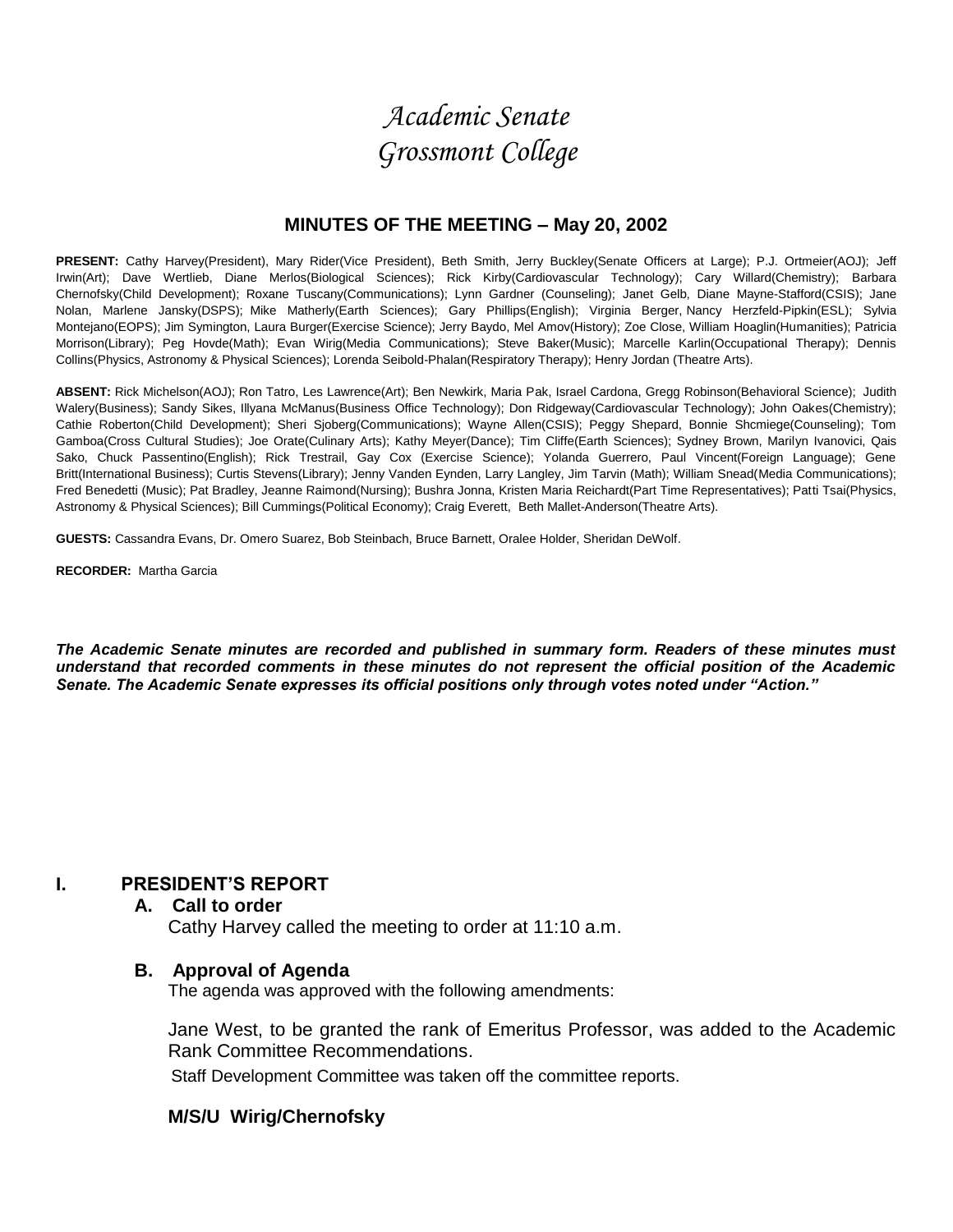# *Academic Senate Grossmont College*

## **MINUTES OF THE MEETING – May 20, 2002**

**PRESENT:** Cathy Harvey(President), Mary Rider(Vice President), Beth Smith, Jerry Buckley(Senate Officers at Large); P.J. Ortmeier(AOJ); Jeff Irwin(Art); Dave Wertlieb, Diane Merlos(Biological Sciences); Rick Kirby(Cardiovascular Technology); Cary Willard(Chemistry); Barbara Chernofsky(Child Development); Roxane Tuscany(Communications); Lynn Gardner (Counseling); Janet Gelb, Diane Mayne-Stafford(CSIS); Jane Nolan, Marlene Jansky(DSPS); Mike Matherly(Earth Sciences); Gary Phillips(English); Virginia Berger, Nancy Herzfeld-Pipkin(ESL); Sylvia Montejano(EOPS); Jim Symington, Laura Burger(Exercise Science); Jerry Baydo, Mel Amov(History); Zoe Close, William Hoaglin(Humanities); Patricia Morrison(Library); Peg Hovde(Math); Evan Wirig(Media Communications); Steve Baker(Music); Marcelle Karlin(Occupational Therapy); Dennis Collins(Physics, Astronomy & Physical Sciences); Lorenda Seibold-Phalan(Respiratory Therapy); Henry Jordan (Theatre Arts).

**ABSENT:** Rick Michelson(AOJ); Ron Tatro, Les Lawrence(Art); Ben Newkirk, Maria Pak, Israel Cardona, Gregg Robinson(Behavioral Science); Judith Walery(Business); Sandy Sikes, Illyana McManus(Business Office Technology); Don Ridgeway(Cardiovascular Technology); John Oakes(Chemistry); Cathie Roberton(Child Development); Sheri Sjoberg(Communications); Wayne Allen(CSIS); Peggy Shepard, Bonnie Shcmiege(Counseling); Tom Gamboa(Cross Cultural Studies); Joe Orate(Culinary Arts); Kathy Meyer(Dance); Tim Cliffe(Earth Sciences); Sydney Brown, Marilyn Ivanovici, Qais Sako, Chuck Passentino(English); Rick Trestrail, Gay Cox (Exercise Science); Yolanda Guerrero, Paul Vincent(Foreign Language); Gene Britt(International Business); Curtis Stevens(Library); Jenny Vanden Eynden, Larry Langley, Jim Tarvin (Math); William Snead(Media Communications); Fred Benedetti (Music); Pat Bradley, Jeanne Raimond(Nursing); Bushra Jonna, Kristen Maria Reichardt(Part Time Representatives); Patti Tsai(Physics, Astronomy & Physical Sciences); Bill Cummings(Political Economy); Craig Everett, Beth Mallet-Anderson(Theatre Arts).

**GUESTS:** Cassandra Evans, Dr. Omero Suarez, Bob Steinbach, Bruce Barnett, Oralee Holder, Sheridan DeWolf.

**RECORDER:** Martha Garcia

*The Academic Senate minutes are recorded and published in summary form. Readers of these minutes must understand that recorded comments in these minutes do not represent the official position of the Academic Senate. The Academic Senate expresses its official positions only through votes noted under "Action."*

# **I. PRESIDENT'S REPORT**

#### **A. Call to order**

Cathy Harvey called the meeting to order at 11:10 a.m.

#### **B. Approval of Agenda**

The agenda was approved with the following amendments:

Jane West, to be granted the rank of Emeritus Professor, was added to the Academic Rank Committee Recommendations.

Staff Development Committee was taken off the committee reports.

## **M/S/U Wirig/Chernofsky**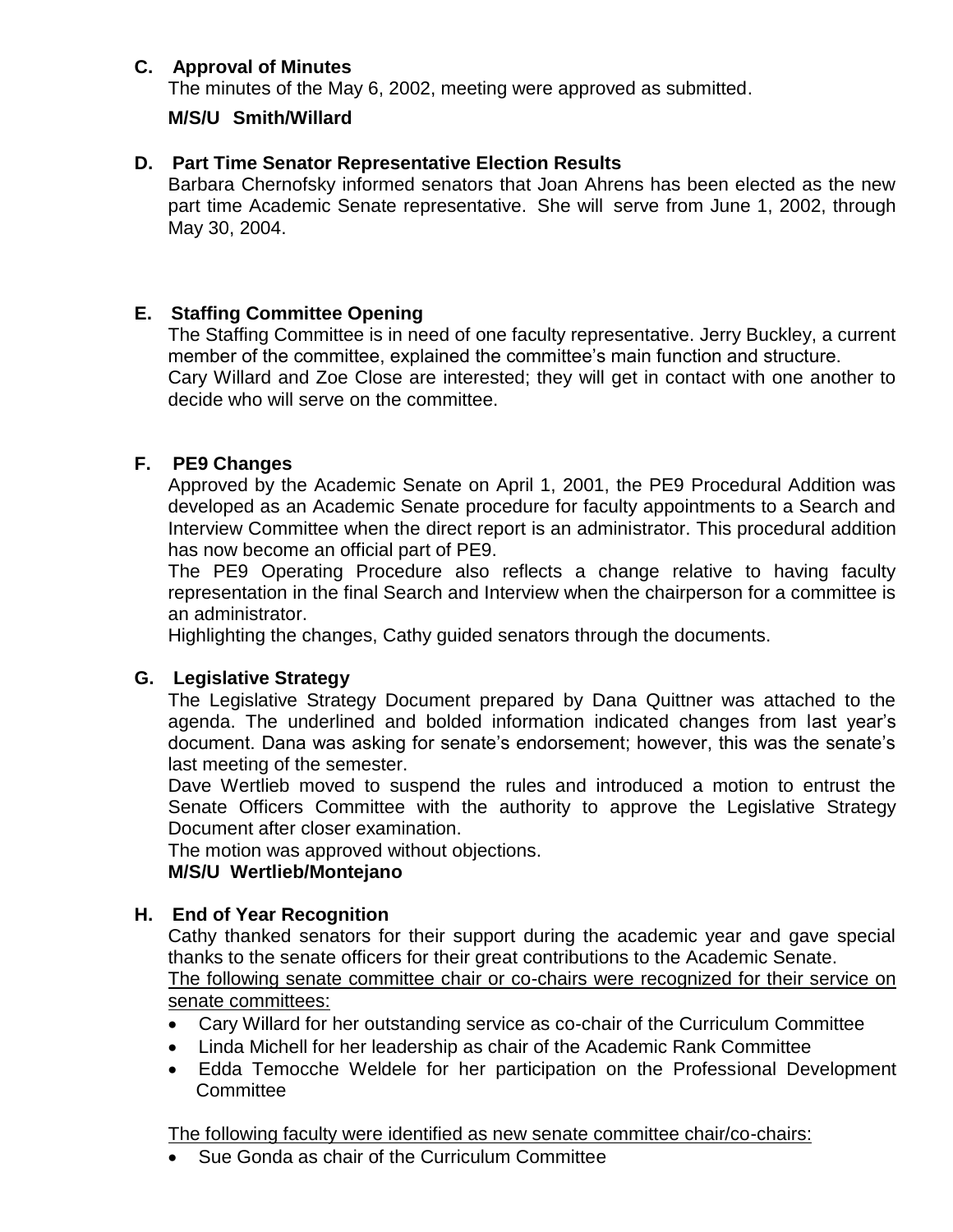# **C. Approval of Minutes**

The minutes of the May 6, 2002, meeting were approved as submitted.

# **M/S/U Smith/Willard**

# **D. Part Time Senator Representative Election Results**

Barbara Chernofsky informed senators that Joan Ahrens has been elected as the new part time Academic Senate representative. She will serve from June 1, 2002, through May 30, 2004.

# **E. Staffing Committee Opening**

The Staffing Committee is in need of one faculty representative. Jerry Buckley, a current member of the committee, explained the committee's main function and structure. Cary Willard and Zoe Close are interested; they will get in contact with one another to decide who will serve on the committee.

# **F. PE9 Changes**

Approved by the Academic Senate on April 1, 2001, the PE9 Procedural Addition was developed as an Academic Senate procedure for faculty appointments to a Search and Interview Committee when the direct report is an administrator. This procedural addition has now become an official part of PE9.

The PE9 Operating Procedure also reflects a change relative to having faculty representation in the final Search and Interview when the chairperson for a committee is an administrator.

Highlighting the changes, Cathy guided senators through the documents.

# **G. Legislative Strategy**

The Legislative Strategy Document prepared by Dana Quittner was attached to the agenda. The underlined and bolded information indicated changes from last year's document. Dana was asking for senate's endorsement; however, this was the senate's last meeting of the semester.

Dave Wertlieb moved to suspend the rules and introduced a motion to entrust the Senate Officers Committee with the authority to approve the Legislative Strategy Document after closer examination.

The motion was approved without objections.

# **M/S/U Wertlieb/Montejano**

# **H. End of Year Recognition**

Cathy thanked senators for their support during the academic year and gave special thanks to the senate officers for their great contributions to the Academic Senate. The following senate committee chair or co-chairs were recognized for their service on senate committees:

- Cary Willard for her outstanding service as co-chair of the Curriculum Committee
- Linda Michell for her leadership as chair of the Academic Rank Committee
- Edda Temocche Weldele for her participation on the Professional Development **Committee**

The following faculty were identified as new senate committee chair/co-chairs:

Sue Gonda as chair of the Curriculum Committee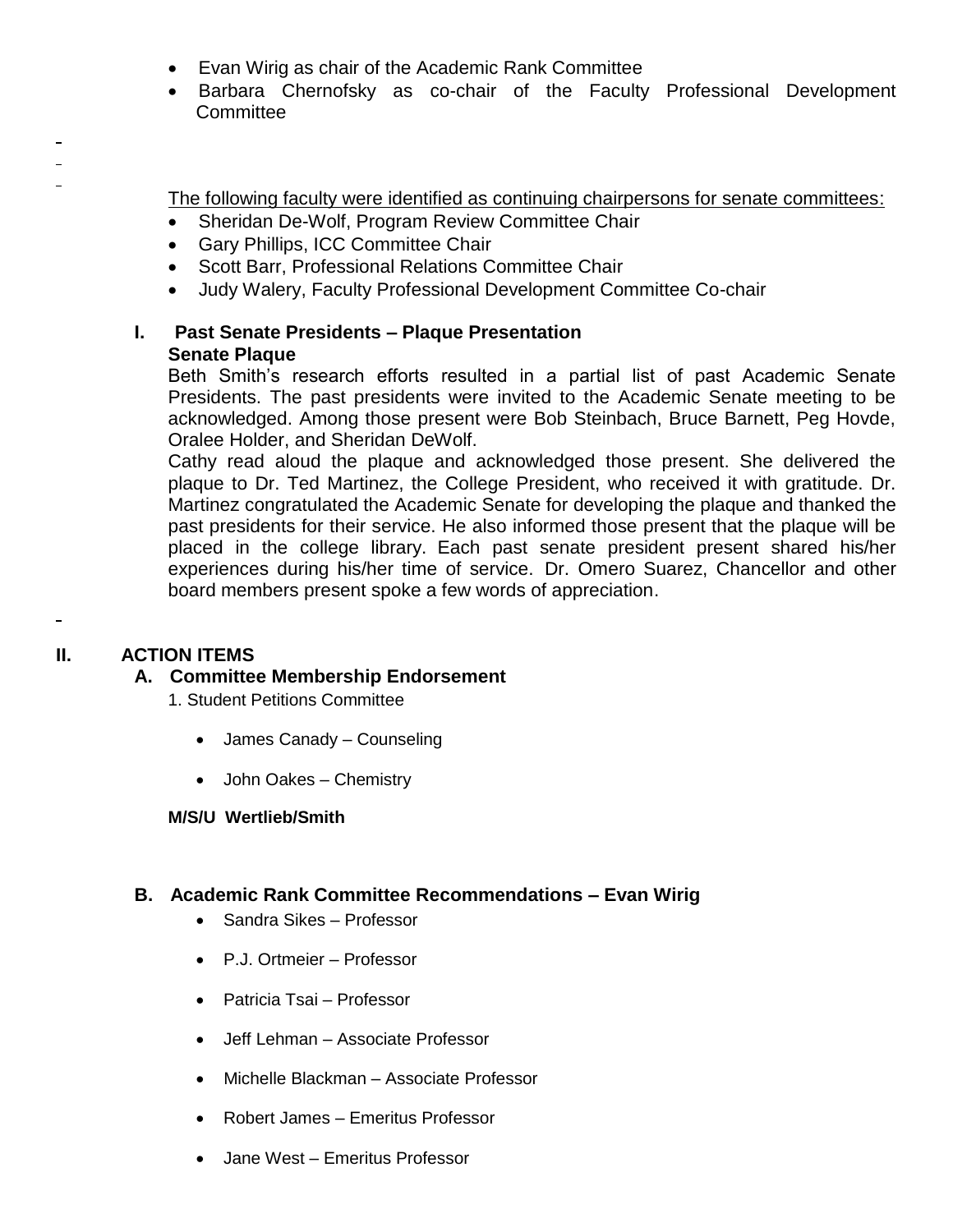- Evan Wirig as chair of the Academic Rank Committee
- Barbara Chernofsky as co-chair of the Faculty Professional Development **Committee**

The following faculty were identified as continuing chairpersons for senate committees:

- Sheridan De-Wolf, Program Review Committee Chair
- Gary Phillips, ICC Committee Chair
- Scott Barr, Professional Relations Committee Chair
- Judy Walery, Faculty Professional Development Committee Co-chair

# **I. Past Senate Presidents – Plaque Presentation Senate Plaque**

Beth Smith's research efforts resulted in a partial list of past Academic Senate Presidents. The past presidents were invited to the Academic Senate meeting to be acknowledged. Among those present were Bob Steinbach, Bruce Barnett, Peg Hovde, Oralee Holder, and Sheridan DeWolf.

Cathy read aloud the plaque and acknowledged those present. She delivered the plaque to Dr. Ted Martinez, the College President, who received it with gratitude. Dr. Martinez congratulated the Academic Senate for developing the plaque and thanked the past presidents for their service. He also informed those present that the plaque will be placed in the college library. Each past senate president present shared his/her experiences during his/her time of service. Dr. Omero Suarez, Chancellor and other board members present spoke a few words of appreciation.

# **II. ACTION ITEMS**

 $\blacksquare$ 

 $\blacksquare$ 

# **A. Committee Membership Endorsement**

1. Student Petitions Committee

- James Canady Counseling
- John Oakes Chemistry

# **M/S/U Wertlieb/Smith**

# **B. Academic Rank Committee Recommendations – Evan Wirig**

- Sandra Sikes Professor
- P.J. Ortmeier Professor
- Patricia Tsai Professor
- Jeff Lehman Associate Professor
- Michelle Blackman Associate Professor
- Robert James Emeritus Professor
- Jane West Emeritus Professor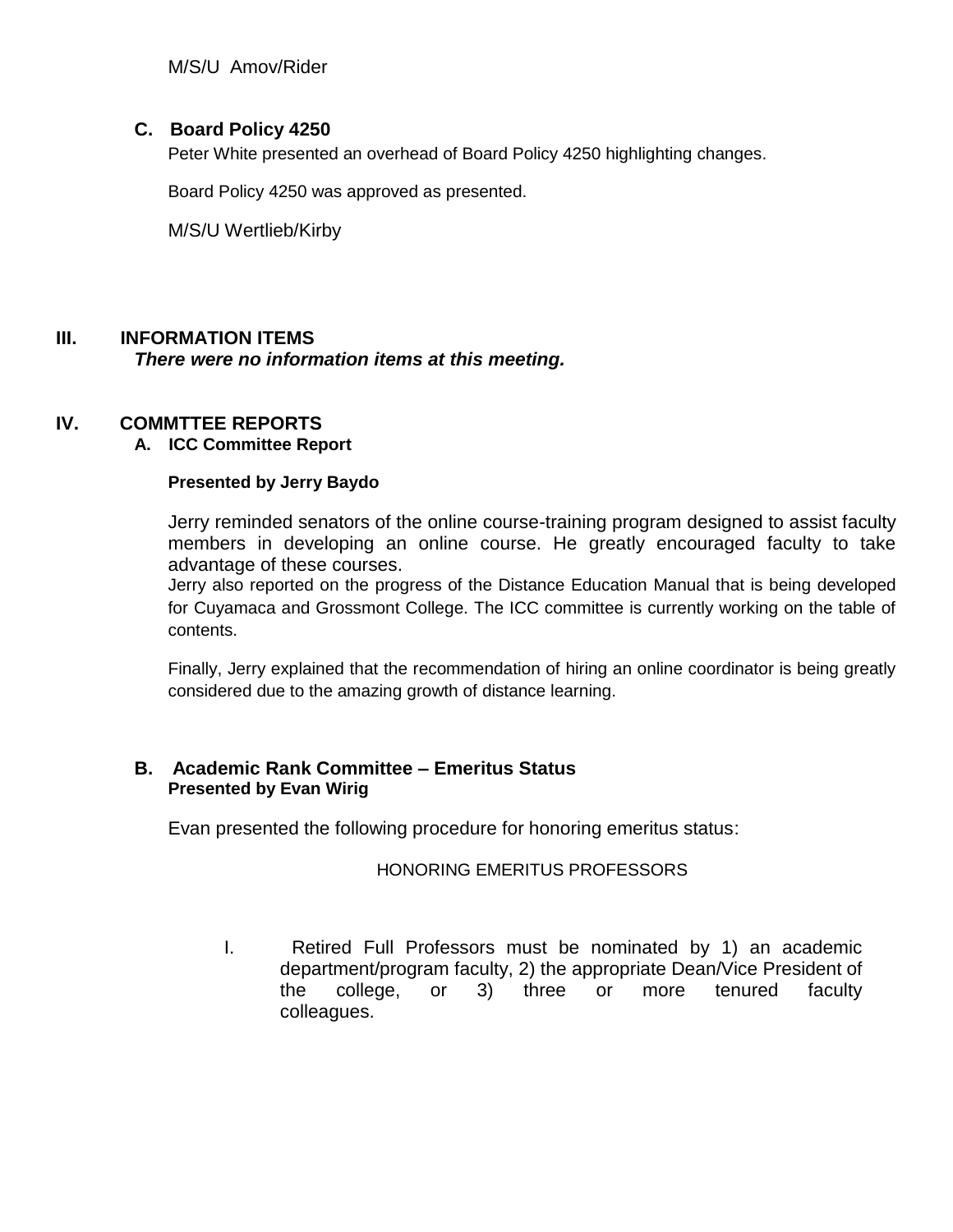M/S/U Amov/Rider

# **C. Board Policy 4250**

Peter White presented an overhead of Board Policy 4250 highlighting changes.

Board Policy 4250 was approved as presented.

M/S/U Wertlieb/Kirby

# **III. INFORMATION ITEMS**

*There were no information items at this meeting.*

## **IV. COMMTTEE REPORTS**

## **A. ICC Committee Report**

#### **Presented by Jerry Baydo**

Jerry reminded senators of the online course-training program designed to assist faculty members in developing an online course. He greatly encouraged faculty to take advantage of these courses.

Jerry also reported on the progress of the Distance Education Manual that is being developed for Cuyamaca and Grossmont College. The ICC committee is currently working on the table of contents.

Finally, Jerry explained that the recommendation of hiring an online coordinator is being greatly considered due to the amazing growth of distance learning.

## **B. Academic Rank Committee – Emeritus Status Presented by Evan Wirig**

Evan presented the following procedure for honoring emeritus status:

## HONORING EMERITUS PROFESSORS

I. Retired Full Professors must be nominated by 1) an academic department/program faculty, 2) the appropriate Dean/Vice President of the college, or 3) three or more tenured faculty colleagues.